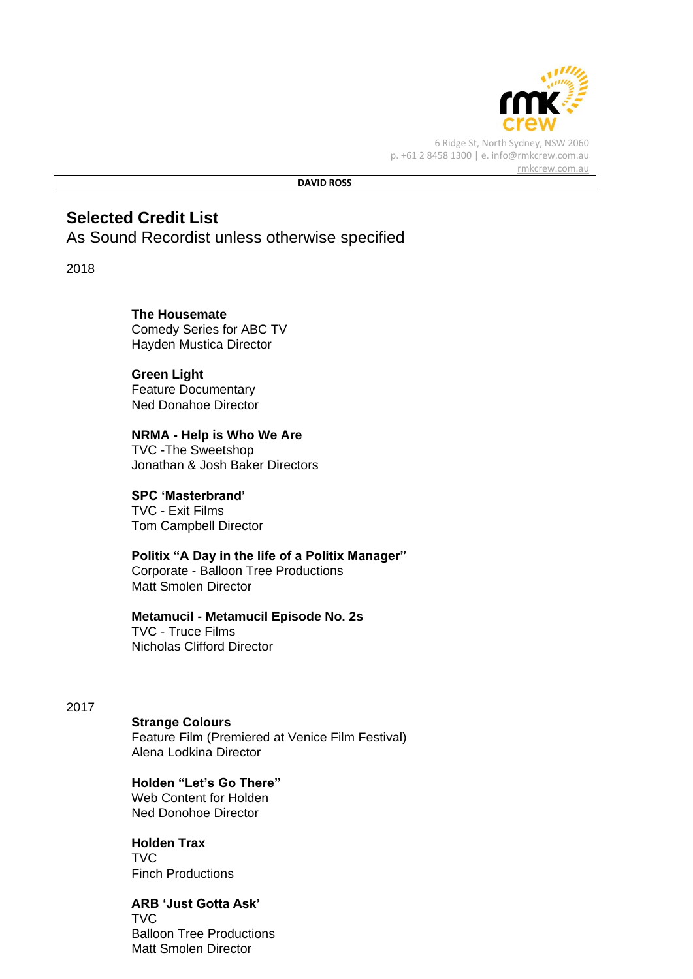

6 Ridge St, North Sydney, NSW 2060 p. +61 2 8458 1300 | e. info@rmkcrew.com.au [rmkcrew.com.au](http://www.rmkcrew.com.au/)

#### **DAVID ROSS**

# **Selected Credit List**

As Sound Recordist unless otherwise specified

2018

**The Housemate** Comedy Series for ABC TV Hayden Mustica Director

**Green Light** Feature Documentary Ned Donahoe Director

### **NRMA - Help is Who We Are**

TVC -The Sweetshop Jonathan & Josh Baker Directors

### **SPC 'Masterbrand'**

TVC - Exit Films Tom Campbell Director

**Politix "A Day in the life of a Politix Manager"** Corporate - Balloon Tree Productions

Matt Smolen Director

### **Metamucil - Metamucil Episode No. 2s**

TVC - Truce Films Nicholas Clifford Director

### 2017

### **Strange Colours**

Feature Film (Premiered at Venice Film Festival) Alena Lodkina Director

### **Holden "Let's Go There"**

Web Content for Holden Ned Donohoe Director

## **Holden Trax**

**TVC** Finch Productions

#### **ARB 'Just Gotta Ask'** TVC

Balloon Tree Productions Matt Smolen Director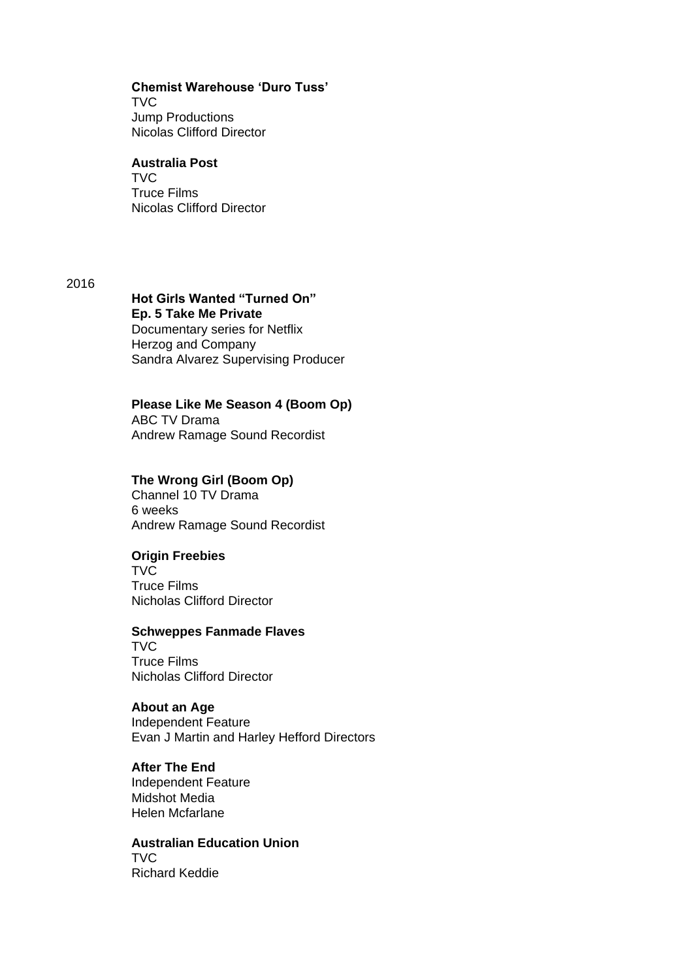### **Chemist Warehouse 'Duro Tuss'**

**TVC** Jump Productions Nicolas Clifford Director

# **Australia Post**

**TVC** Truce Films Nicolas Clifford Director

#### 2016

# **Hot Girls Wanted "Turned On" Ep. 5 Take Me Private**

Documentary series for Netflix Herzog and Company Sandra Alvarez Supervising Producer

### **Please Like Me Season 4 (Boom Op)**

ABC TV Drama Andrew Ramage Sound Recordist

# **The Wrong Girl (Boom Op)**

Channel 10 TV Drama 6 weeks Andrew Ramage Sound Recordist

# **Origin Freebies**

TVC Truce Films Nicholas Clifford Director

## **Schweppes Fanmade Flaves**

TVC Truce Films Nicholas Clifford Director

### **About an Age**

Independent Feature Evan J Martin and Harley Hefford Directors

# **After The End**

Independent Feature Midshot Media Helen Mcfarlane

### **Australian Education Union** TVC Richard Keddie